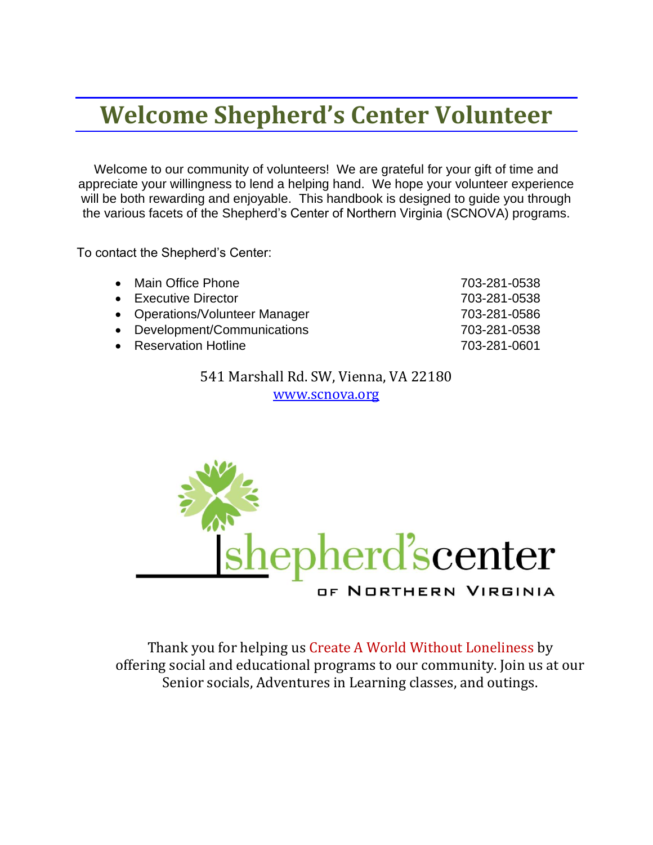### **Welcome Shepherd's Center Volunteer**

Welcome to our community of volunteers! We are grateful for your gift of time and appreciate your willingness to lend a helping hand. We hope your volunteer experience will be both rewarding and enjoyable. This handbook is designed to guide you through the various facets of the Shepherd's Center of Northern Virginia (SCNOVA) programs.

To contact the Shepherd's Center:

| • Main Office Phone            | 703-281-0538 |
|--------------------------------|--------------|
| • Executive Director           | 703-281-0538 |
| • Operations/Volunteer Manager | 703-281-0586 |
| • Development/Communications   | 703-281-0538 |
| • Reservation Hotline          | 703-281-0601 |

541 Marshall Rd. SW, Vienna, VA 22180 [www.scnova.org](http://www.scnova.org/)



Thank you for helping us Create A World Without Loneliness by offering social and educational programs to our community. Join us at our Senior socials, Adventures in Learning classes, and outings.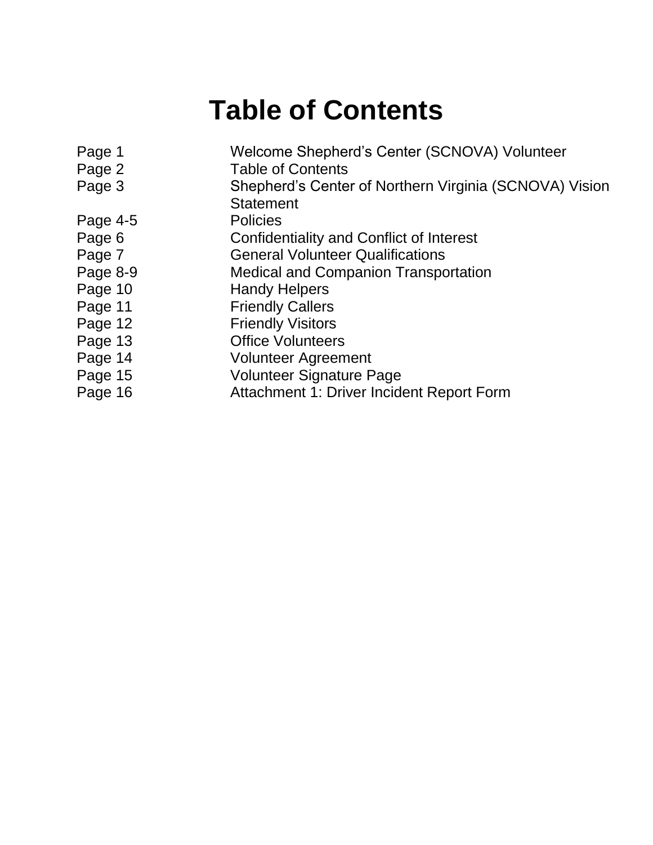### **Table of Contents**

| Page 1   | Welcome Shepherd's Center (SCNOVA) Volunteer           |
|----------|--------------------------------------------------------|
| Page 2   | <b>Table of Contents</b>                               |
| Page 3   | Shepherd's Center of Northern Virginia (SCNOVA) Vision |
|          | <b>Statement</b>                                       |
| Page 4-5 | <b>Policies</b>                                        |
| Page 6   | Confidentiality and Conflict of Interest               |
| Page 7   | <b>General Volunteer Qualifications</b>                |
| Page 8-9 | <b>Medical and Companion Transportation</b>            |
| Page 10  | <b>Handy Helpers</b>                                   |
| Page 11  | <b>Friendly Callers</b>                                |
| Page 12  | <b>Friendly Visitors</b>                               |
| Page 13  | <b>Office Volunteers</b>                               |
| Page 14  | <b>Volunteer Agreement</b>                             |
| Page 15  | <b>Volunteer Signature Page</b>                        |
| Page 16  | Attachment 1: Driver Incident Report Form              |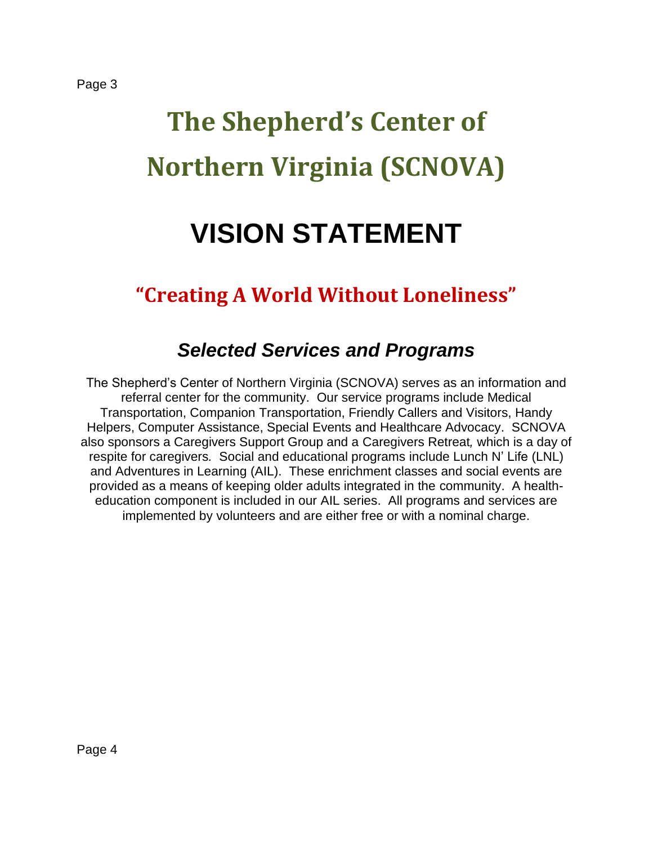# **The Shepherd's Center of Northern Virginia (SCNOVA)**

### **VISION STATEMENT**

### **"Creating A World Without Loneliness"**

### *Selected Services and Programs*

The Shepherd's Center of Northern Virginia (SCNOVA) serves as an information and referral center for the community. Our service programs include Medical Transportation, Companion Transportation, Friendly Callers and Visitors, Handy Helpers, Computer Assistance, Special Events and Healthcare Advocacy. SCNOVA also sponsors a Caregivers Support Group and a Caregivers Retreat*,* which is a day of respite for caregivers*.* Social and educational programs include Lunch N' Life (LNL) and Adventures in Learning (AIL). These enrichment classes and social events are provided as a means of keeping older adults integrated in the community. A healtheducation component is included in our AIL series. All programs and services are implemented by volunteers and are either free or with a nominal charge.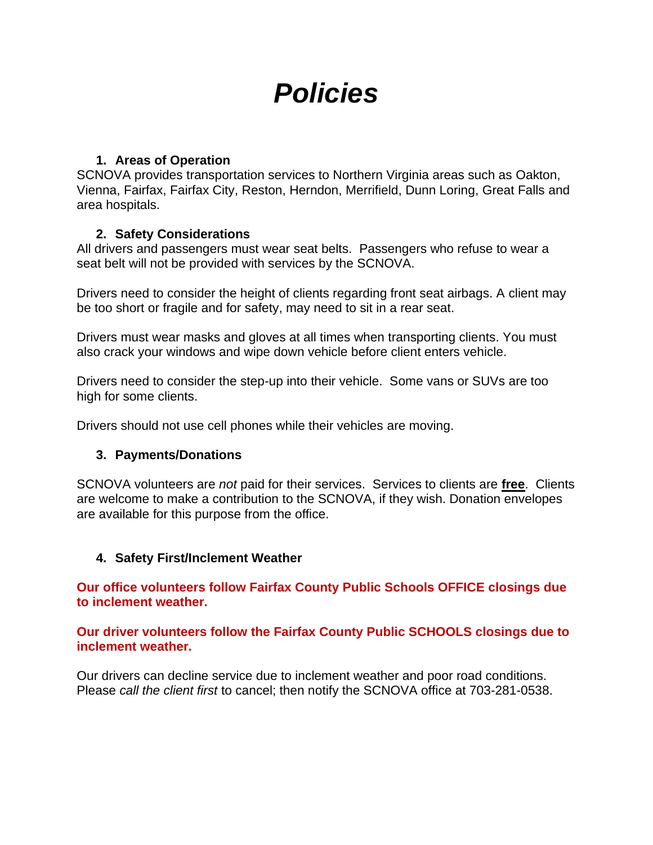### *Policies*

#### **1. Areas of Operation**

SCNOVA provides transportation services to Northern Virginia areas such as Oakton, Vienna, Fairfax, Fairfax City, Reston, Herndon, Merrifield, Dunn Loring, Great Falls and area hospitals.

#### **2. Safety Considerations**

All drivers and passengers must wear seat belts. Passengers who refuse to wear a seat belt will not be provided with services by the SCNOVA.

Drivers need to consider the height of clients regarding front seat airbags. A client may be too short or fragile and for safety, may need to sit in a rear seat.

Drivers must wear masks and gloves at all times when transporting clients. You must also crack your windows and wipe down vehicle before client enters vehicle.

Drivers need to consider the step-up into their vehicle. Some vans or SUVs are too high for some clients.

Drivers should not use cell phones while their vehicles are moving.

#### **3. Payments/Donations**

SCNOVA volunteers are *not* paid for their services. Services to clients are **free**. Clients are welcome to make a contribution to the SCNOVA, if they wish. Donation envelopes are available for this purpose from the office.

#### **4. Safety First/Inclement Weather**

**Our office volunteers follow Fairfax County Public Schools OFFICE closings due to inclement weather.**

**Our driver volunteers follow the Fairfax County Public SCHOOLS closings due to inclement weather.**

Our drivers can decline service due to inclement weather and poor road conditions. Please *call the client first* to cancel; then notify the SCNOVA office at 703-281-0538.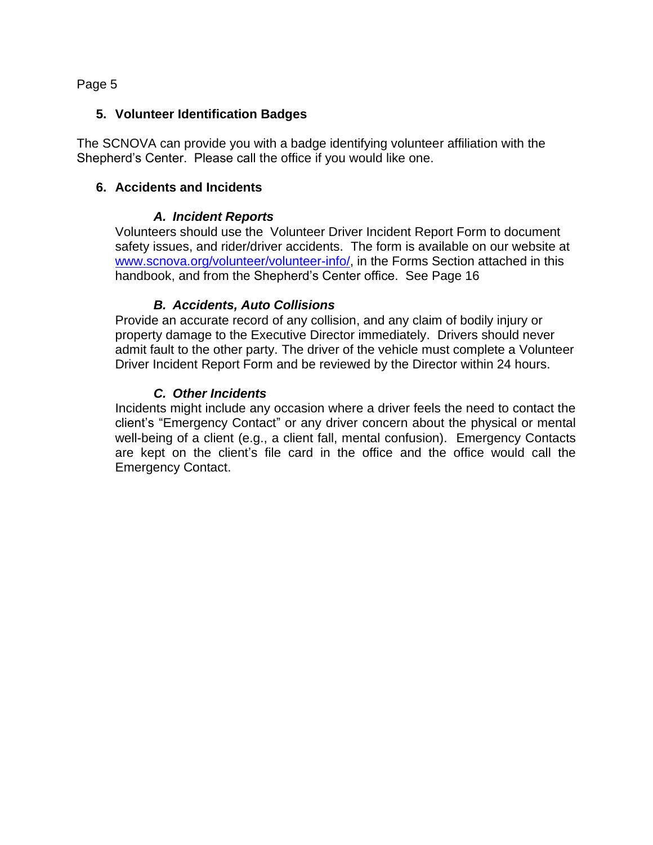#### **5. Volunteer Identification Badges**

The SCNOVA can provide you with a badge identifying volunteer affiliation with the Shepherd's Center. Please call the office if you would like one.

#### **6. Accidents and Incidents**

#### *A. Incident Reports*

Volunteers should use the Volunteer Driver Incident Report Form to document safety issues, and rider/driver accidents. The form is available on our website at [www.scnova.org/volunteer/volunteer-info/,](http://www.scnova.org/volunteer/volunteer-info/) in the Forms Section attached in this handbook, and from the Shepherd's Center office. See Page 16

#### *B. Accidents, Auto Collisions*

Provide an accurate record of any collision, and any claim of bodily injury or property damage to the Executive Director immediately. Drivers should never admit fault to the other party. The driver of the vehicle must complete a Volunteer Driver Incident Report Form and be reviewed by the Director within 24 hours.

#### *C. Other Incidents*

Incidents might include any occasion where a driver feels the need to contact the client's "Emergency Contact" or any driver concern about the physical or mental well-being of a client (e.g., a client fall, mental confusion). Emergency Contacts are kept on the client's file card in the office and the office would call the Emergency Contact.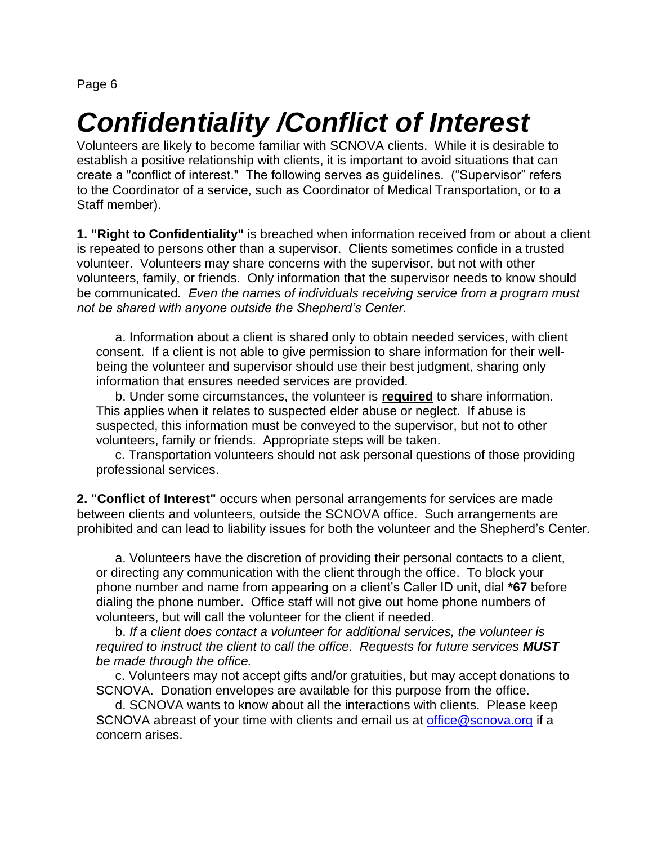### *Confidentiality /Conflict of Interest*

Volunteers are likely to become familiar with SCNOVA clients. While it is desirable to establish a positive relationship with clients, it is important to avoid situations that can create a "conflict of interest." The following serves as guidelines. ("Supervisor" refers to the Coordinator of a service, such as Coordinator of Medical Transportation, or to a Staff member).

**1. "Right to Confidentiality"** is breached when information received from or about a client is repeated to persons other than a supervisor. Clients sometimes confide in a trusted volunteer. Volunteers may share concerns with the supervisor, but not with other volunteers, family, or friends. Only information that the supervisor needs to know should be communicated*. Even the names of individuals receiving service from a program must not be shared with anyone outside the Shepherd's Center.*

a. Information about a client is shared only to obtain needed services, with client consent. If a client is not able to give permission to share information for their wellbeing the volunteer and supervisor should use their best judgment, sharing only information that ensures needed services are provided.

b. Under some circumstances, the volunteer is **required** to share information. This applies when it relates to suspected elder abuse or neglect. If abuse is suspected, this information must be conveyed to the supervisor, but not to other volunteers, family or friends. Appropriate steps will be taken.

c. Transportation volunteers should not ask personal questions of those providing professional services.

**2. "Conflict of Interest"** occurs when personal arrangements for services are made between clients and volunteers, outside the SCNOVA office. Such arrangements are prohibited and can lead to liability issues for both the volunteer and the Shepherd's Center.

a. Volunteers have the discretion of providing their personal contacts to a client, or directing any communication with the client through the office. To block your phone number and name from appearing on a client's Caller ID unit, dial **\*67** before dialing the phone number. Office staff will not give out home phone numbers of volunteers, but will call the volunteer for the client if needed.

b. *If a client does contact a volunteer for additional services, the volunteer is required to instruct the client to call the office. Requests for future services MUST be made through the office.*

c. Volunteers may not accept gifts and/or gratuities, but may accept donations to SCNOVA. Donation envelopes are available for this purpose from the office.

d. SCNOVA wants to know about all the interactions with clients. Please keep SCNOVA abreast of your time with clients and email us at [office@scnova.org](mailto:office@scnova.org) if a concern arises.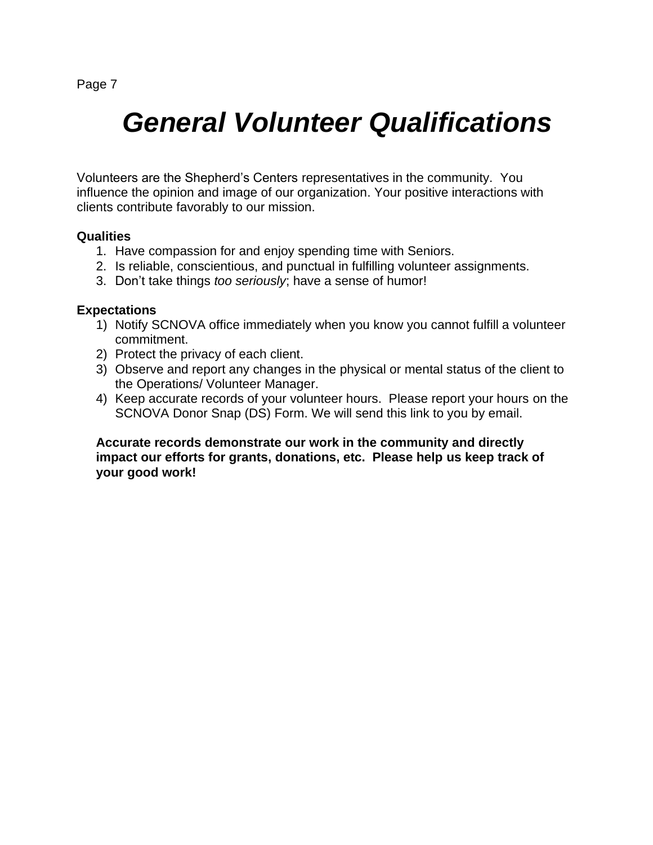### *General Volunteer Qualifications*

Volunteers are the Shepherd's Centers representatives in the community. You influence the opinion and image of our organization. Your positive interactions with clients contribute favorably to our mission.

#### **Qualities**

- 1. Have compassion for and enjoy spending time with Seniors.
- 2. Is reliable, conscientious, and punctual in fulfilling volunteer assignments.
- 3. Don't take things *too seriously*; have a sense of humor!

#### **Expectations**

- 1) Notify SCNOVA office immediately when you know you cannot fulfill a volunteer commitment.
- 2) Protect the privacy of each client.
- 3) Observe and report any changes in the physical or mental status of the client to the Operations/ Volunteer Manager.
- 4) Keep accurate records of your volunteer hours. Please report your hours on the SCNOVA Donor Snap (DS) Form. We will send this link to you by email.

**Accurate records demonstrate our work in the community and directly impact our efforts for grants, donations, etc. Please help us keep track of your good work!**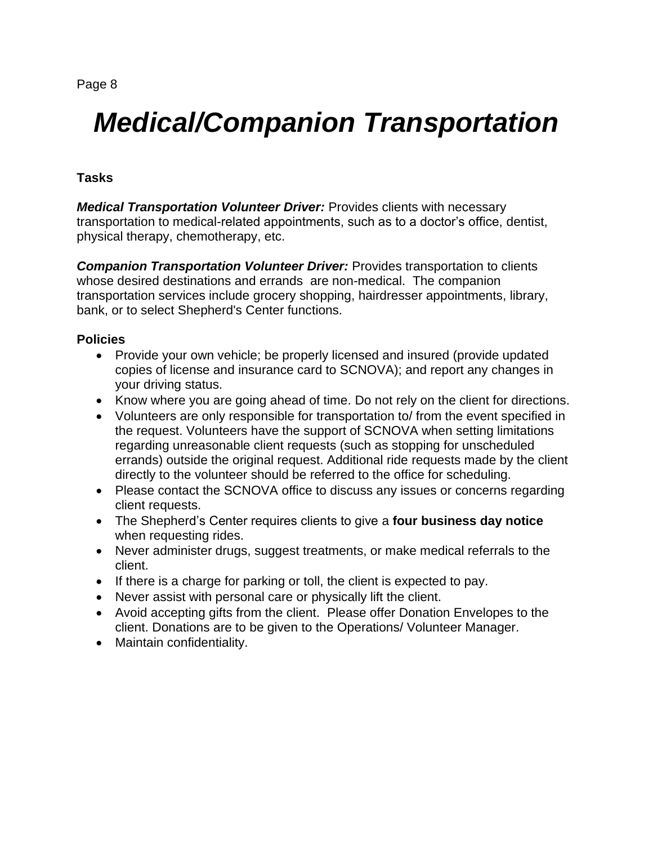## *Medical/Companion Transportation*

#### **Tasks**

*Medical Transportation Volunteer Driver:* Provides clients with necessary transportation to medical-related appointments, such as to a doctor's office, dentist, physical therapy, chemotherapy, etc.

*Companion Transportation Volunteer Driver:* Provides transportation to clients whose desired destinations and errands are non-medical. The companion transportation services include grocery shopping, hairdresser appointments, library, bank, or to select Shepherd's Center functions.

#### **Policies**

- Provide your own vehicle; be properly licensed and insured (provide updated copies of license and insurance card to SCNOVA); and report any changes in your driving status.
- Know where you are going ahead of time. Do not rely on the client for directions.
- Volunteers are only responsible for transportation to/ from the event specified in the request. Volunteers have the support of SCNOVA when setting limitations regarding unreasonable client requests (such as stopping for unscheduled errands) outside the original request. Additional ride requests made by the client directly to the volunteer should be referred to the office for scheduling.
- Please contact the SCNOVA office to discuss any issues or concerns regarding client requests.
- The Shepherd's Center requires clients to give a **four business day notice** when requesting rides.
- Never administer drugs, suggest treatments, or make medical referrals to the client.
- If there is a charge for parking or toll, the client is expected to pay.
- Never assist with personal care or physically lift the client.
- Avoid accepting gifts from the client. Please offer Donation Envelopes to the client. Donations are to be given to the Operations/ Volunteer Manager.
- Maintain confidentiality.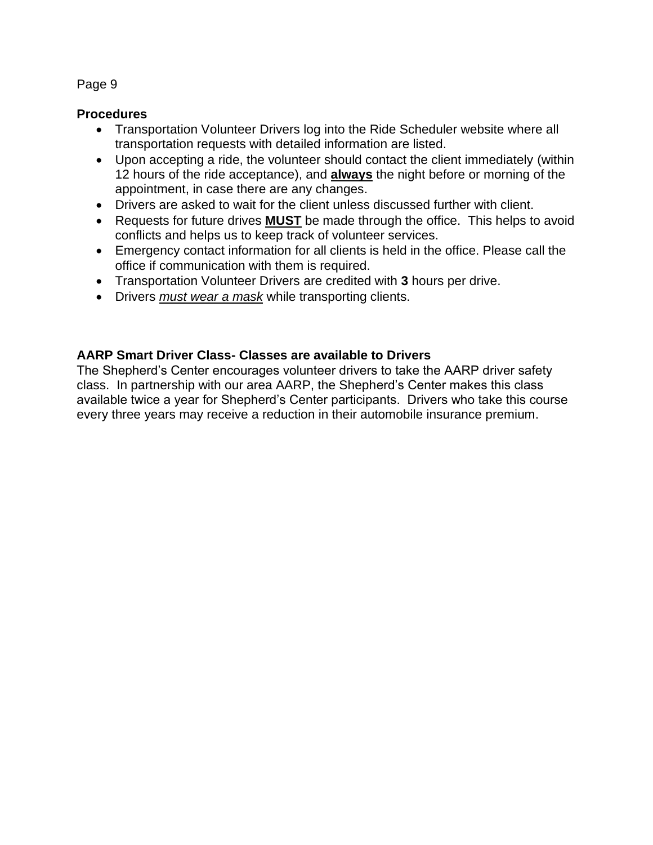#### **Procedures**

- Transportation Volunteer Drivers log into the Ride Scheduler website where all transportation requests with detailed information are listed.
- Upon accepting a ride, the volunteer should contact the client immediately (within 12 hours of the ride acceptance), and **always** the night before or morning of the appointment, in case there are any changes.
- Drivers are asked to wait for the client unless discussed further with client.
- Requests for future drives **MUST** be made through the office. This helps to avoid conflicts and helps us to keep track of volunteer services.
- Emergency contact information for all clients is held in the office. Please call the office if communication with them is required.
- Transportation Volunteer Drivers are credited with **3** hours per drive.
- Drivers *must wear a mask* while transporting clients.

#### **AARP Smart Driver Class- Classes are available to Drivers**

The Shepherd's Center encourages volunteer drivers to take the AARP driver safety class. In partnership with our area AARP, the Shepherd's Center makes this class available twice a year for Shepherd's Center participants. Drivers who take this course every three years may receive a reduction in their automobile insurance premium.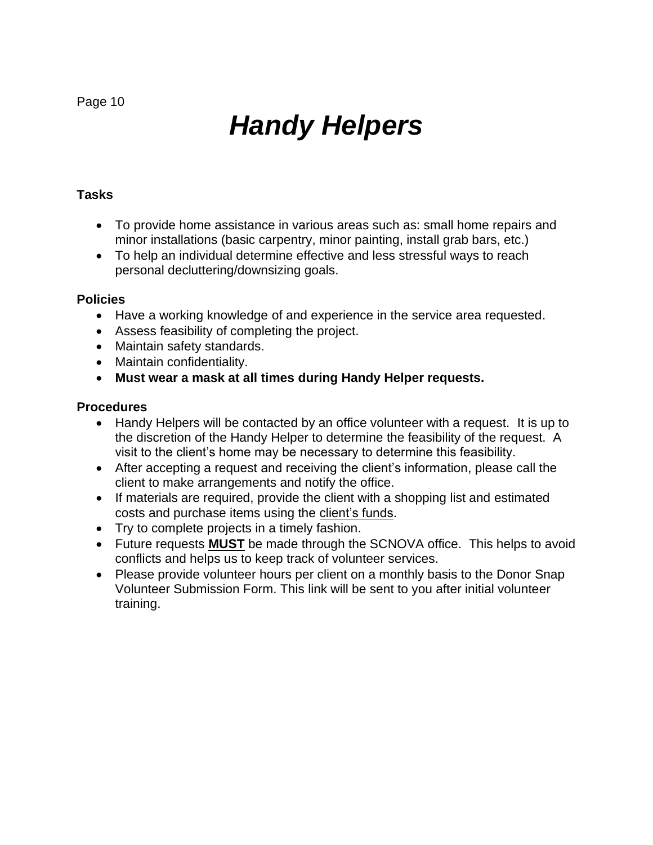# *Handy Helpers*

#### **Tasks**

- To provide home assistance in various areas such as: small home repairs and minor installations (basic carpentry, minor painting, install grab bars, etc.)
- To help an individual determine effective and less stressful ways to reach personal decluttering/downsizing goals.

#### **Policies**

- Have a working knowledge of and experience in the service area requested.
- Assess feasibility of completing the project.
- Maintain safety standards.
- Maintain confidentiality.
- **Must wear a mask at all times during Handy Helper requests.**

- Handy Helpers will be contacted by an office volunteer with a request. It is up to the discretion of the Handy Helper to determine the feasibility of the request. A visit to the client's home may be necessary to determine this feasibility.
- After accepting a request and receiving the client's information, please call the client to make arrangements and notify the office.
- If materials are required, provide the client with a shopping list and estimated costs and purchase items using the client's funds.
- Try to complete projects in a timely fashion.
- Future requests **MUST** be made through the SCNOVA office. This helps to avoid conflicts and helps us to keep track of volunteer services.
- Please provide volunteer hours per client on a monthly basis to the Donor Snap Volunteer Submission Form. This link will be sent to you after initial volunteer training.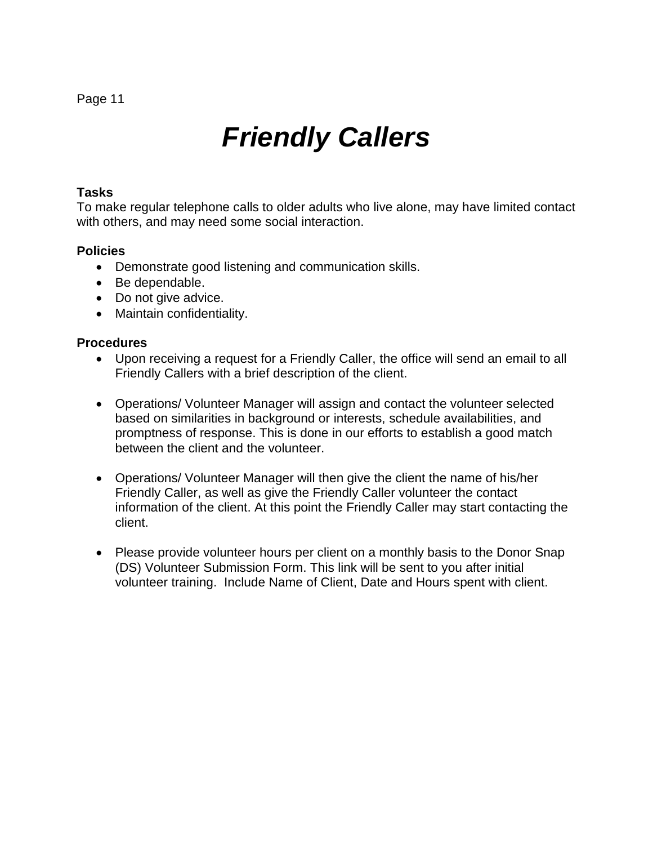### *Friendly Callers*

#### **Tasks**

To make regular telephone calls to older adults who live alone, may have limited contact with others, and may need some social interaction.

#### **Policies**

- Demonstrate good listening and communication skills.
- Be dependable.
- Do not give advice.
- Maintain confidentiality.

- Upon receiving a request for a Friendly Caller, the office will send an email to all Friendly Callers with a brief description of the client.
- Operations/ Volunteer Manager will assign and contact the volunteer selected based on similarities in background or interests, schedule availabilities, and promptness of response. This is done in our efforts to establish a good match between the client and the volunteer.
- Operations/ Volunteer Manager will then give the client the name of his/her Friendly Caller, as well as give the Friendly Caller volunteer the contact information of the client. At this point the Friendly Caller may start contacting the client.
- Please provide volunteer hours per client on a monthly basis to the Donor Snap (DS) Volunteer Submission Form. This link will be sent to you after initial volunteer training. Include Name of Client, Date and Hours spent with client.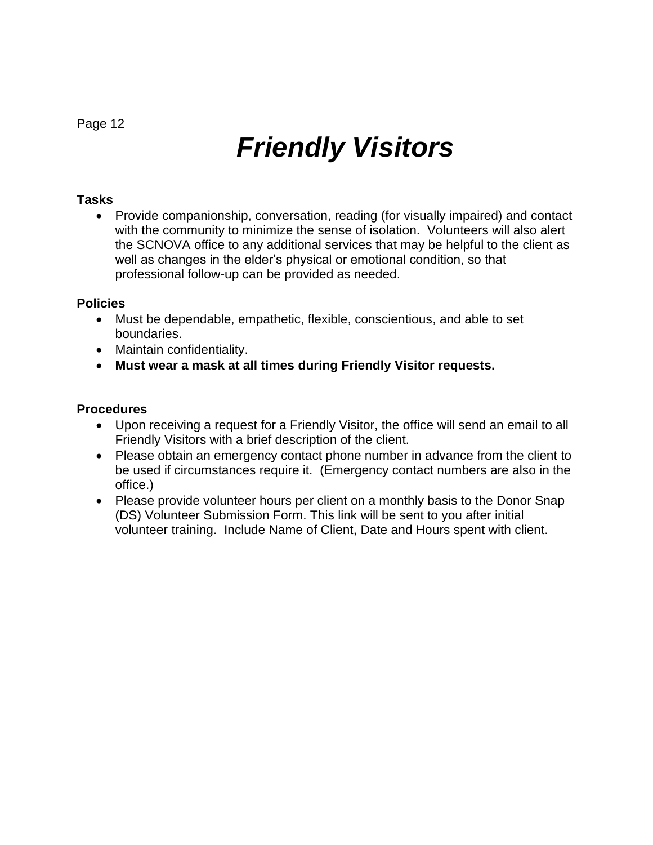# *Friendly Visitors*

#### **Tasks**

• Provide companionship, conversation, reading (for visually impaired) and contact with the community to minimize the sense of isolation. Volunteers will also alert the SCNOVA office to any additional services that may be helpful to the client as well as changes in the elder's physical or emotional condition, so that professional follow-up can be provided as needed.

#### **Policies**

- Must be dependable, empathetic, flexible, conscientious, and able to set boundaries.
- Maintain confidentiality.
- **Must wear a mask at all times during Friendly Visitor requests.**

- Upon receiving a request for a Friendly Visitor, the office will send an email to all Friendly Visitors with a brief description of the client.
- Please obtain an emergency contact phone number in advance from the client to be used if circumstances require it. (Emergency contact numbers are also in the office.)
- Please provide volunteer hours per client on a monthly basis to the Donor Snap (DS) Volunteer Submission Form. This link will be sent to you after initial volunteer training. Include Name of Client, Date and Hours spent with client.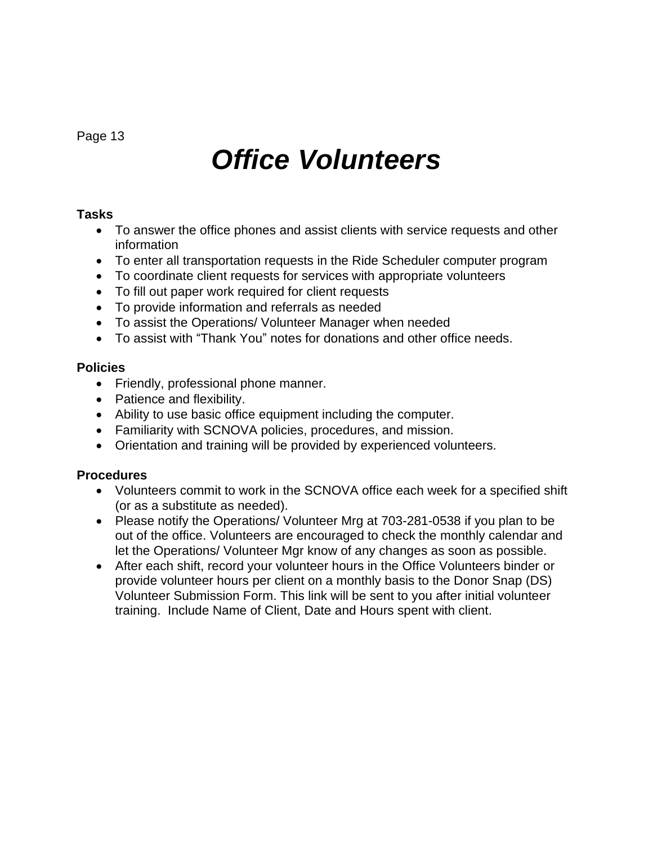### *Office Volunteers*

#### **Tasks**

- To answer the office phones and assist clients with service requests and other information
- To enter all transportation requests in the Ride Scheduler computer program
- To coordinate client requests for services with appropriate volunteers
- To fill out paper work required for client requests
- To provide information and referrals as needed
- To assist the Operations/ Volunteer Manager when needed
- To assist with "Thank You" notes for donations and other office needs.

#### **Policies**

- Friendly, professional phone manner.
- Patience and flexibility.
- Ability to use basic office equipment including the computer.
- Familiarity with SCNOVA policies, procedures, and mission.
- Orientation and training will be provided by experienced volunteers.

- Volunteers commit to work in the SCNOVA office each week for a specified shift (or as a substitute as needed).
- Please notify the Operations/ Volunteer Mrg at 703-281-0538 if you plan to be out of the office. Volunteers are encouraged to check the monthly calendar and let the Operations/ Volunteer Mgr know of any changes as soon as possible.
- After each shift, record your volunteer hours in the Office Volunteers binder or provide volunteer hours per client on a monthly basis to the Donor Snap (DS) Volunteer Submission Form. This link will be sent to you after initial volunteer training. Include Name of Client, Date and Hours spent with client.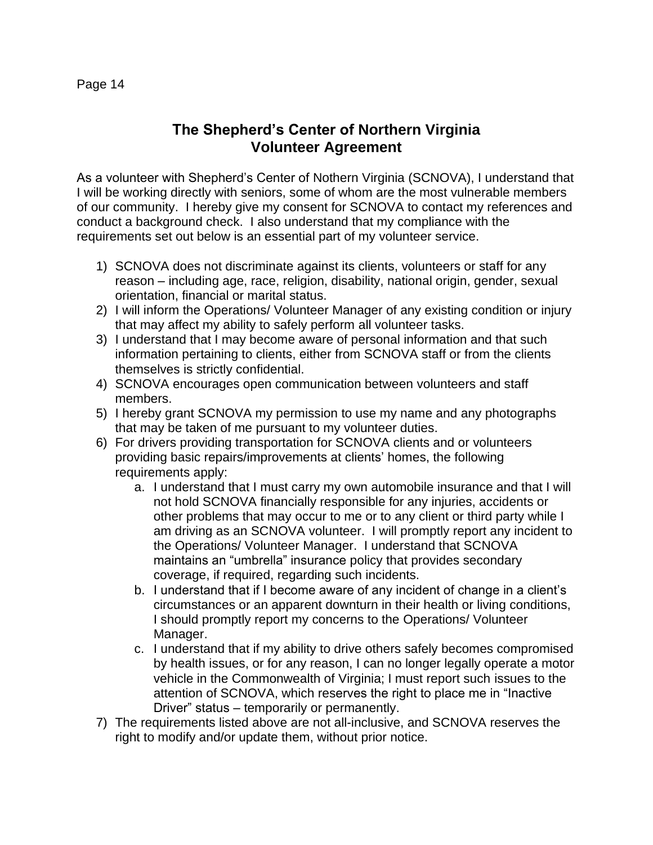#### **The Shepherd's Center of Northern Virginia Volunteer Agreement**

As a volunteer with Shepherd's Center of Nothern Virginia (SCNOVA), I understand that I will be working directly with seniors, some of whom are the most vulnerable members of our community. I hereby give my consent for SCNOVA to contact my references and conduct a background check. I also understand that my compliance with the requirements set out below is an essential part of my volunteer service.

- 1) SCNOVA does not discriminate against its clients, volunteers or staff for any reason – including age, race, religion, disability, national origin, gender, sexual orientation, financial or marital status.
- 2) I will inform the Operations/ Volunteer Manager of any existing condition or injury that may affect my ability to safely perform all volunteer tasks.
- 3) I understand that I may become aware of personal information and that such information pertaining to clients, either from SCNOVA staff or from the clients themselves is strictly confidential.
- 4) SCNOVA encourages open communication between volunteers and staff members.
- 5) I hereby grant SCNOVA my permission to use my name and any photographs that may be taken of me pursuant to my volunteer duties.
- 6) For drivers providing transportation for SCNOVA clients and or volunteers providing basic repairs/improvements at clients' homes, the following requirements apply:
	- a. I understand that I must carry my own automobile insurance and that I will not hold SCNOVA financially responsible for any injuries, accidents or other problems that may occur to me or to any client or third party while I am driving as an SCNOVA volunteer. I will promptly report any incident to the Operations/ Volunteer Manager. I understand that SCNOVA maintains an "umbrella" insurance policy that provides secondary coverage, if required, regarding such incidents.
	- b. I understand that if I become aware of any incident of change in a client's circumstances or an apparent downturn in their health or living conditions, I should promptly report my concerns to the Operations/ Volunteer Manager.
	- c. I understand that if my ability to drive others safely becomes compromised by health issues, or for any reason, I can no longer legally operate a motor vehicle in the Commonwealth of Virginia; I must report such issues to the attention of SCNOVA, which reserves the right to place me in "Inactive Driver" status – temporarily or permanently.
- 7) The requirements listed above are not all-inclusive, and SCNOVA reserves the right to modify and/or update them, without prior notice.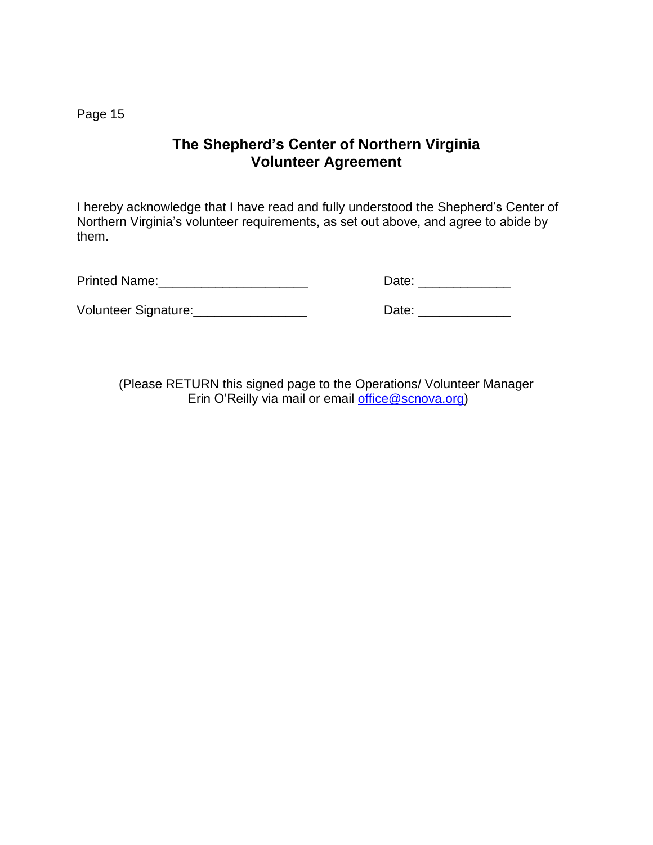#### **The Shepherd's Center of Northern Virginia Volunteer Agreement**

I hereby acknowledge that I have read and fully understood the Shepherd's Center of Northern Virginia's volunteer requirements, as set out above, and agree to abide by them.

Printed Name: Note: Name: 2008 and 2008 and 2012 and 2012 and 2012 and 2012 and 2013 and 2014 and 2014 and 201

Volunteer Signature: \_\_\_\_\_\_\_\_\_\_\_\_\_\_\_\_\_\_\_\_\_\_\_\_\_\_\_\_\_\_\_\_Date: \_\_\_\_\_\_\_\_\_\_\_\_\_\_\_\_\_\_\_\_\_

| Date: |  |  |  |
|-------|--|--|--|
|       |  |  |  |

(Please RETURN this signed page to the Operations/ Volunteer Manager Erin O'Reilly via mail or email [office@scnova.org\)](mailto:office@scnova.org)